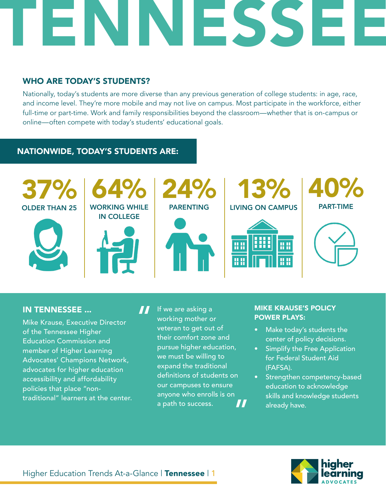### WHO ARE TODAY'S STUDENTS?

Nationally, today's students are more diverse than any previous generation of college students: in age, race, and income level. They're more mobile and may not live on campus. Most participate in the workforce, either full-time or part-time. Work and family responsibilities beyond the classroom—whether that is on-campus or online—often compete with today's students' educational goals.

### NATIONWIDE, TODAY'S STUDENTS ARE:



#### IN TENNESSEE ...

Mike Krause, Executive Director of the Tennessee Higher Education Commission and member of Higher Learning Advocates' Champions Network, advocates for higher education accessibility and affordability policies that place "nontraditional" learners at the center.

If we are asking a working mother or veteran to get out of their comfort zone and pursue higher education, we must be willing to expand the traditional definitions of students on our campuses to ensure anyone who enrolls is on a path to success. " "

#### MIKE KRAUSE'S POLICY POWER PLAYS:

- Make today's students the center of policy decisions.
- Simplify the Free Application for Federal Student Aid (FAFSA).
- Strengthen competency-based education to acknowledge skills and knowledge students already have.

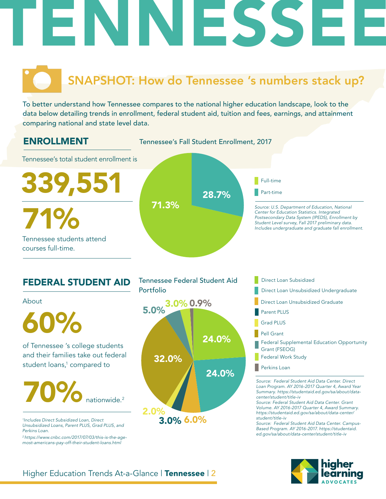# SNAPSHOT: How do Tennessee 's numbers stack up?

To better understand how Tennessee compares to the national higher education landscape, look to the data below detailing trends in enrollment, federal student aid, tuition and fees, earnings, and attainment comparing national and state level data.



## FEDERAL STUDENT AID

About

and their families take out federal student loans,<sup>1</sup> compared to 60%

# 70% nationwide. 2

*1 Includes Direct Subsidized Loan, Direct Unsubsidized Loans, Parent PLUS, Grad PLUS, and Perkins Loan.* 

*2 https://www.cnbc.com/2017/07/03/this-is-the-agemost-americans-pay-off-their-student-loans.html*



3.0% 6.0%

- Direct Loan Subsidized
- 
- Direct Loan Unsubsidized Graduate
- Parent PLUS
- Grad PLUS
- Pell Grant
- Federal Supplemental Education Opportunity Grant (FSEOG)
- Federal Work Study
- **Perkins Loan**

*Source: Federal Student Aid Data Center. Direct Loan Program. AY 2016-2017 Quarter 4, Award Year Summary. https://studentaid.ed.gov/sa/about/datacenter/student/title-iv*

*Source: Federal Student Aid Data Center. Grant Volume. AY 2016-2017 Quarter 4, Award Summary. https://studentaid.ed.gov/sa/about/data-center/ student/title-iv*

*Source: Federal Student Aid Data Center. Campus-Based Program. AY 2016-2017. https://studentaid. ed.gov/sa/about/data-center/student/title-iv*



## Higher Education Trends At-a-Glance | Tennessee | 2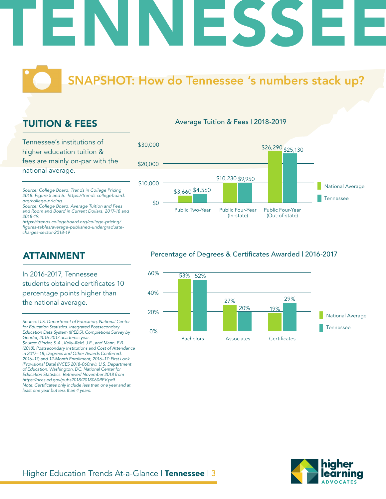# **NAPSHOT: How do Tennessee 's numbers stack up?**

## TUITION & FEES

Tennessee's institutions of higher education tuition & fees are mainly on-par with the national average.

*Source: College Board. Trends in College Pricing 2018. Figure 5 and 6. https://trends.collegeboard. org/college-pricing*

*Source: College Board. Average Tuition and Fees and Room and Board in Current Dollars, 2017-18 and 2018-19.*

*https://trends.collegeboard.org/college-pricing/* figures-tables/average-published-undergraduate*charges-sector-2018-19*

## ATTAINMENT

In 2016-2017, Tennessee students obtained certificates 10 percentage points higher than the national average.

#### Average Tuition & Fees | 2018-2019



#### Percentage of Degrees & Certificates Awarded | 2016-2017





*Source: U.S. Department of Education, National Center for Education Statistics. Integrated Postsecondary Education Data System (IPEDS), Completions Survey by Gender, 2016-2017 academic year. Source: Ginder, S.A., Kelly-Reid, J.E., and Mann, F.B. (2018). Postsecondary Institutions and Cost of Attendance in 2017– 18; Degrees and Other Awards Conferred, 2016–17; and 12-Month Enrollment, 2016–17: First Look (Provisional Data) (NCES 2018-060rev). U.S. Department of Education. Washington, DC: National Center for Education Statistics. Retrieved November 2018 from https://nces.ed.gov/pubs2018/2018060REV.pdf* Note: Certificates only include less than one year and at *least one year but less than 4 years.*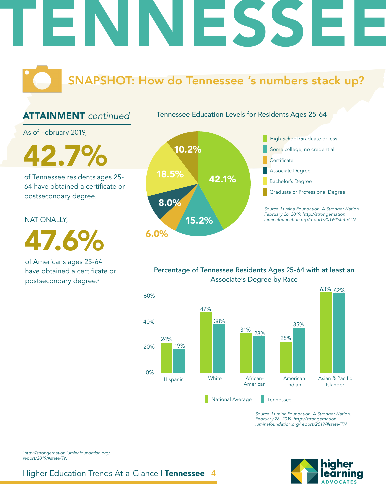# SNAPSHOT: How do Tennessee 's numbers stack up?

## ATTAINMENT *continued*

Tennessee Education Levels for Residents Ages 25-64

As of February 2019,

 $2.7\%$   $10.2\%$ 

of Tennessee residents ages 25- 64 have obtained a certificate or postsecondary degree.

#### NATIONALLY,

47.6%

of Americans ages 25-64 have obtained a certificate or postsecondary degree.3



### Percentage of Tennessee Residents Ages 25-64 with at least an Associate's Degree by Race



*Source: Lumina Foundation. A Stronger Nation. February 26, 2019. http://strongernation. luminafoundation.org/report/2019/#state/TN*



<sup>3</sup>*http://strongernation.luminafoundation.org/ report/2019/#state/TN*

Higher Education Trends At-a-Glance | Tennessee | 4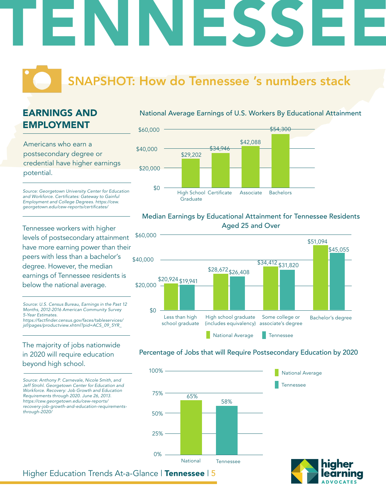# SNAPSHOT: How do Tennessee 's numbers stack

# EARNINGS AND EMPLOYMENT

Americans who earn a postsecondary degree or credential have higher earnings potential.

*Source: Georgetown University Center for Education*  and Workforce. Certificates: Gateway to Gainful *Employment and College Degrees. https://cew.* georgetown.edu/cew-reports/certificates/

Tennessee workers with higher levels of postsecondary attainment have more earning power than their peers with less than a bachelor's degree. However, the median earnings of Tennessee residents is below the national average.

*Source: U.S. Census Bureau, Earnings in the Past 12 Months, 2012-2016 American Community Survey 5-Year Estimates.* https://factfinder.census.gov/faces/tableservices/

*jsf/pages/productview.xhtml?pid=ACS\_09\_5YR\_*

### The majority of jobs nationwide in 2020 will require education beyond high school.

*Source: Anthony P. Carnevale, Nicole Smith, and Jeff Strohl. Georgetown Center for Education and Workforce. Recovery: Job Growth and Education Requirements through 2020. June 26, 2013. https://cew.georgetown.edu/cew-reports/ recovery-job-growth-and-education-requirementsthrough-2020/*

#### National Average Earnings of U.S. Workers By Educational Attainment



### Median Earnings by Educational Attainment for Tennessee Residents Aged 25 and Over



#### Percentage of Jobs that will Require Postsecondary Education by 2020





Higher Education Trends At-a-Glance | Tennessee | 5